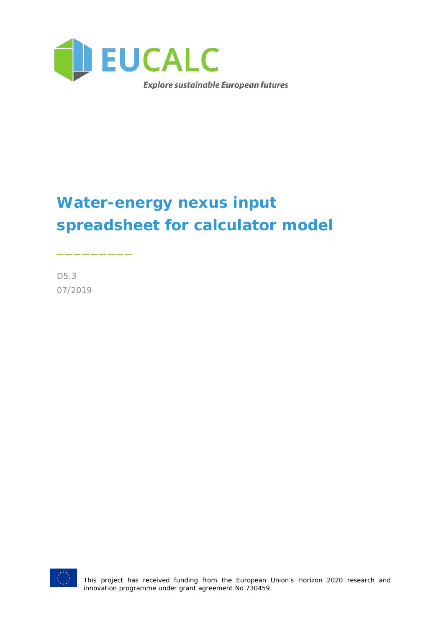

# **Water-energy nexus input spreadsheet for calculator model**

D5.3 07/2019

\_\_\_\_\_\_\_\_\_



This project has received funding from the European Union's Horizon 2020 research and innovation programme under grant agreement No 730459.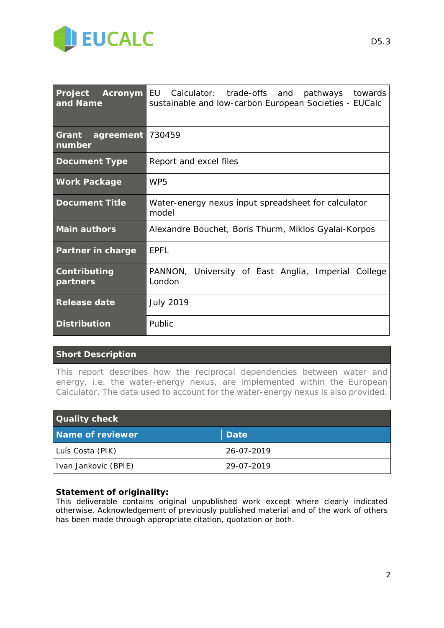

| Project<br>and Name          | <b>Acronym EU</b> Calculator: trade-offs and pathways towards<br>sustainable and low-carbon European Societies - EUCalc |  |  |  |  |  |
|------------------------------|-------------------------------------------------------------------------------------------------------------------------|--|--|--|--|--|
| Grant<br>agreement<br>number | 730459                                                                                                                  |  |  |  |  |  |
| <b>Document Type</b>         | Report and excel files                                                                                                  |  |  |  |  |  |
| <b>Work Package</b>          | WP <sub>5</sub>                                                                                                         |  |  |  |  |  |
| <b>Document Title</b>        | Water-energy nexus input spreadsheet for calculator<br>model                                                            |  |  |  |  |  |
| <b>Main authors</b>          | Alexandre Bouchet, Boris Thurm, Miklos Gyalai-Korpos                                                                    |  |  |  |  |  |
| Partner in charge            | <b>FPFI</b>                                                                                                             |  |  |  |  |  |
| Contributing<br>partners     | PANNON, University of East Anglia, Imperial<br>College<br>London                                                        |  |  |  |  |  |
| <b>Release date</b>          | <b>July 2019</b>                                                                                                        |  |  |  |  |  |
| <b>Distribution</b>          | <b>Public</b>                                                                                                           |  |  |  |  |  |

#### **Short Description**

*This report describes how the reciprocal dependencies between water and energy, i.e. the water-energy nexus, are implemented within the European Calculator. The data used to account for the water-energy nexus is also provided.*

| <b>Quality check</b> |            |  |  |  |  |  |
|----------------------|------------|--|--|--|--|--|
| Name of reviewer     | Date       |  |  |  |  |  |
| Luís Costa (PIK)     | 26-07-2019 |  |  |  |  |  |
| Ivan Jankovic (BPIE) | 29-07-2019 |  |  |  |  |  |

#### **Statement of originality:**

This deliverable contains original unpublished work except where clearly indicated otherwise. Acknowledgement of previously published material and of the work of others has been made through appropriate citation, quotation or both.

D5.3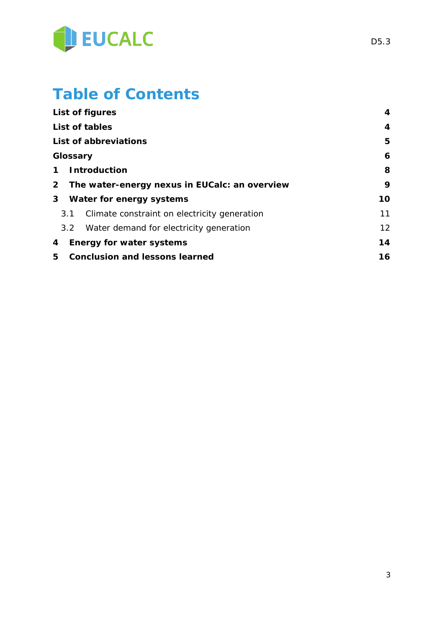

## **Table of Contents**

|                | List of figures                               |    |  |  |
|----------------|-----------------------------------------------|----|--|--|
|                | List of tables                                |    |  |  |
|                | List of abbreviations                         | 5  |  |  |
| Glossary       |                                               | 6  |  |  |
| 1              | <b>Introduction</b>                           | 8  |  |  |
| $\overline{2}$ | The water-energy nexus in EUCalc: an overview | 9  |  |  |
| 3 <sup>1</sup> | Water for energy systems                      | 10 |  |  |
| 3.1            | Climate constraint on electricity generation  | 11 |  |  |
| 3.2            | Water demand for electricity generation       | 12 |  |  |
| 4              | <b>Energy for water systems</b>               | 14 |  |  |
| 5              | <b>Conclusion and lessons learned</b>         |    |  |  |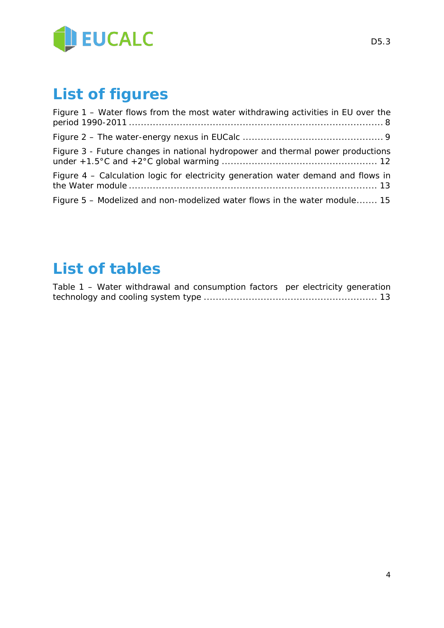

# <span id="page-3-0"></span>**List of figures**

| Figure 1 - Water flows from the most water withdrawing activities in EU over the  |
|-----------------------------------------------------------------------------------|
|                                                                                   |
| Figure 3 - Future changes in national hydropower and thermal power productions    |
| Figure 4 – Calculation logic for electricity generation water demand and flows in |
| Figure 5 – Modelized and non-modelized water flows in the water module 15         |

## <span id="page-3-1"></span>**List of tables**

| Table 1 – Water withdrawal and consumption factors per electricity generation |  |  |  |  |
|-------------------------------------------------------------------------------|--|--|--|--|
|                                                                               |  |  |  |  |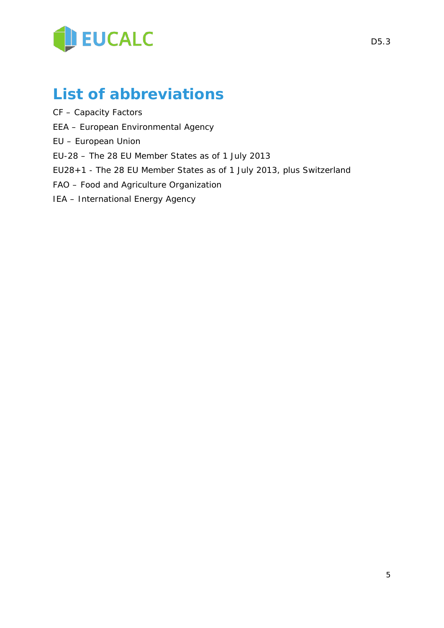

### <span id="page-4-0"></span>**List of abbreviations**

- CF Capacity Factors
- EEA European Environmental Agency
- EU European Union
- EU-28 The 28 EU Member States as of 1 July 2013
- EU28+1 The 28 EU Member States as of 1 July 2013, plus Switzerland
- FAO Food and Agriculture Organization
- IEA International Energy Agency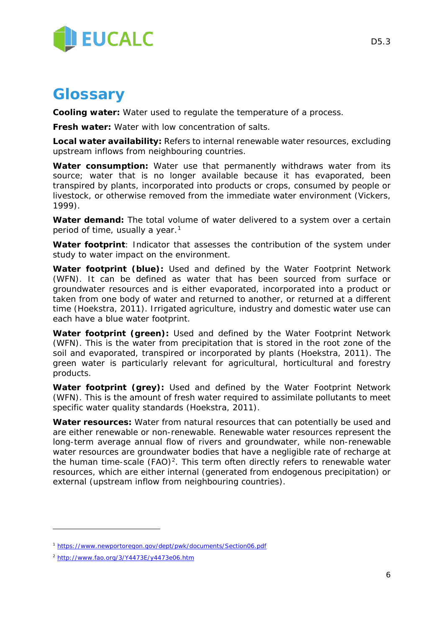

### <span id="page-5-0"></span>**Glossary**

**Cooling water:** Water used to regulate the temperature of a process.

**Fresh water:** Water with low concentration of salts.

**Local water availability:** Refers to internal renewable water resources, excluding upstream inflows from neighbouring countries.

**Water consumption:** Water use that permanently withdraws water from its source; water that is no longer available because it has evaporated, been transpired by plants, incorporated into products or crops, consumed by people or livestock, or otherwise removed from the immediate water environment (Vickers, 1999).

**Water demand:** The total volume of water delivered to a system over a certain period of time, usually a year.<sup>[1](#page-5-1)</sup>

**Water footprint**: Indicator that assesses the contribution of the system under study to water impact on the environment.

**Water footprint (blue):** Used and defined by the Water Footprint Network (WFN). It can be defined as water that has been sourced from surface or groundwater resources and is either evaporated, incorporated into a product or taken from one body of water and returned to another, or returned at a different time (Hoekstra, 2011). Irrigated agriculture, industry and domestic water use can each have a blue water footprint.

**Water footprint (green):** Used and defined by the Water Footprint Network (WFN). This is the water from precipitation that is stored in the root zone of the soil and evaporated, transpired or incorporated by plants (Hoekstra, 2011). The green water is particularly relevant for agricultural, horticultural and forestry products.

**Water footprint (grey):** Used and defined by the Water Footprint Network (WFN). This is the amount of fresh water required to assimilate pollutants to meet specific water quality standards (Hoekstra, 2011).

**Water resources:** Water from natural resources that can potentially be used and are either renewable or non-renewable. Renewable water resources represent the long-term average annual flow of rivers and groundwater, while non-renewable water resources are groundwater bodies that have a negligible rate of recharge at the human time-scale  $(FAO)^2$  $(FAO)^2$ . This term often directly refers to renewable water resources, which are either internal (generated from endogenous precipitation) or external (upstream inflow from neighbouring countries).

-

<span id="page-5-1"></span><sup>1</sup> <https://www.newportoregon.gov/dept/pwk/documents/Section06.pdf>

<span id="page-5-2"></span><sup>2</sup> <http://www.fao.org/3/Y4473E/y4473e06.htm>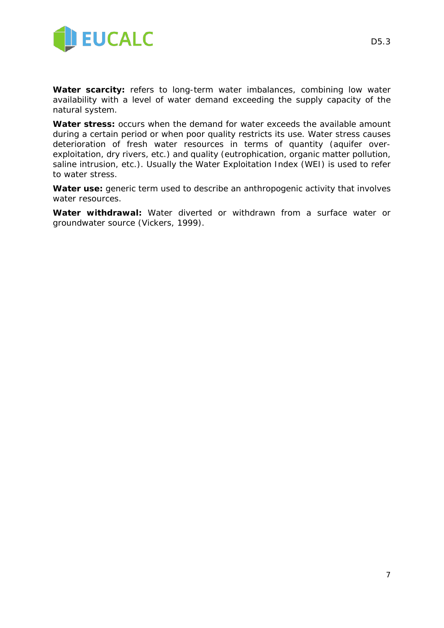

**Water scarcity:** refers to long-term water imbalances, combining low water availability with a level of water demand exceeding the supply capacity of the natural system.

**Water stress:** occurs when the demand for water exceeds the available amount during a certain period or when poor quality restricts its use. Water stress causes deterioration of fresh water resources in terms of quantity (aquifer overexploitation, dry rivers, etc.) and quality (eutrophication, organic matter pollution, saline intrusion, etc.). Usually the Water Exploitation Index (WEI) is used to refer to water stress.

**Water use:** generic term used to describe an anthropogenic activity that involves water resources.

**Water withdrawal:** Water diverted or withdrawn from a surface water or groundwater source (Vickers, 1999).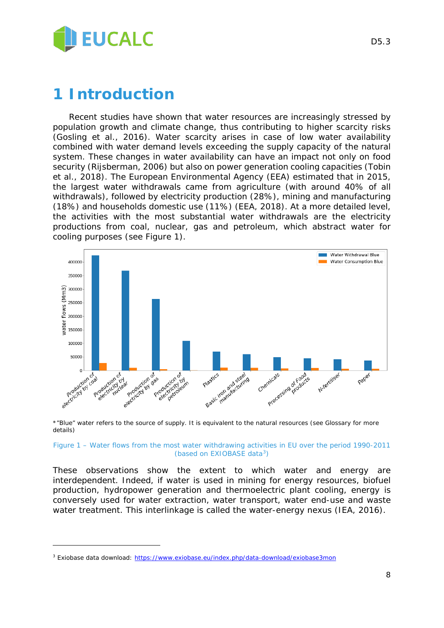

### <span id="page-7-0"></span>**1 Introduction**

Recent studies have shown that water resources are increasingly stressed by population growth and climate change, thus contributing to higher scarcity risks (Gosling et al., 2016). Water scarcity arises in case of low water availability combined with water demand levels exceeding the supply capacity of the natural system. These changes in water availability can have an impact not only on food security (Rijsberman, 2006) but also on power generation cooling capacities (Tobin et al., 2018). The European Environmental Agency (EEA) estimated that in 2015, the largest water withdrawals came from agriculture (with around 40% of all withdrawals), followed by electricity production (28%), mining and manufacturing (18%) and households domestic use (11%) (EEA, 2018). At a more detailed level, the activities with the most substantial water withdrawals are the electricity productions from coal, nuclear, gas and petroleum, which abstract water for cooling purposes (see Figure 1).



\*"Blue" water refers to the source of supply. It is equivalent to the natural resources (see Glossary for more details)

#### <span id="page-7-1"></span>*Figure 1 – Water flows from the most water withdrawing activities in EU over the period 1990-2011 (based on EXIOBASE data[3\)](#page-7-2)*

These observations show the extent to which water and energy are interdependent. Indeed, if water is used in mining for energy resources, biofuel production, hydropower generation and thermoelectric plant cooling, energy is conversely used for water extraction, water transport, water end-use and waste water treatment. This interlinkage is called the water-energy nexus (IEA, 2016).

-

<span id="page-7-2"></span><sup>3</sup> Exiobase data download:<https://www.exiobase.eu/index.php/data-download/exiobase3mon>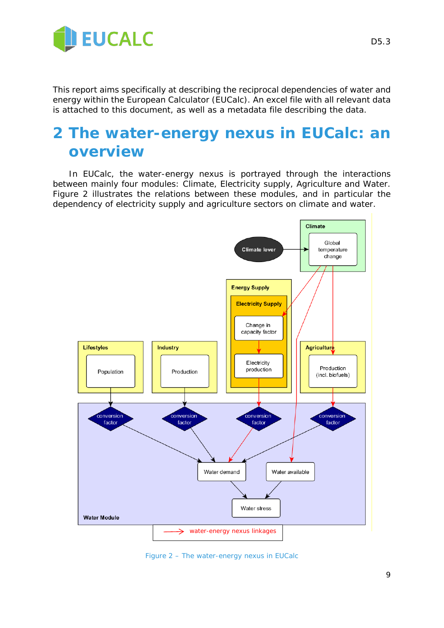

This report aims specifically at describing the reciprocal dependencies of water and energy within the European Calculator (EUCalc). An excel file with all relevant data is attached to this document, as well as a metadata file describing the data.

### <span id="page-8-0"></span>**2 The water-energy nexus in EUCalc: an overview**

In EUCalc, the water-energy nexus is portrayed through the interactions between mainly four modules: Climate, Electricity supply, Agriculture and Water. Figure 2 illustrates the relations between these modules, and in particular the dependency of electricity supply and agriculture sectors on climate and water.



<span id="page-8-1"></span>*Figure 2 – The water-energy nexus in EUCalc*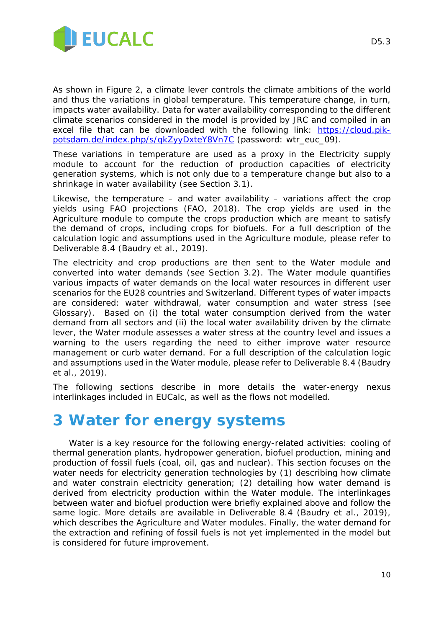

As shown in Figure 2, a climate lever controls the climate ambitions of the world and thus the variations in global temperature. This temperature change, in turn, impacts water availability. Data for water availability corresponding to the different climate scenarios considered in the model is provided by JRC and compiled in an excel file that can be downloaded with the following link: [https://cloud.pik](https://cloud.pik-potsdam.de/index.php/s/qkZyyDxteY8Vn7C)[potsdam.de/index.php/s/qkZyyDxteY8Vn7C](https://cloud.pik-potsdam.de/index.php/s/qkZyyDxteY8Vn7C) (password: wtr\_euc\_09).

These variations in temperature are used as a proxy in the Electricity supply module to account for the reduction of production capacities of electricity generation systems, which is not only due to a temperature change but also to a shrinkage in water availability (see Section 3.1).

Likewise, the temperature  $-$  and water availability  $-$  variations affect the crop yields using FAO projections (FAO, 2018). The crop yields are used in the Agriculture module to compute the crops production which are meant to satisfy the demand of crops, including crops for biofuels. For a full description of the calculation logic and assumptions used in the Agriculture module, please refer to Deliverable 8.4 (Baudry et al., 2019).

The electricity and crop productions are then sent to the Water module and converted into water demands (see Section 3.2). The Water module quantifies various impacts of water demands on the local water resources in different user scenarios for the EU28 countries and Switzerland. Different types of water impacts are considered: water withdrawal, water consumption and water stress (see Glossary). Based on (i) the total water consumption derived from the water demand from all sectors and (ii) the local water availability driven by the climate lever, the Water module assesses a water stress at the country level and issues a warning to the users regarding the need to either improve water resource management or curb water demand. For a full description of the calculation logic and assumptions used in the Water module, please refer to Deliverable 8.4 (Baudry et al., 2019).

The following sections describe in more details the water-energy nexus interlinkages included in EUCalc, as well as the flows not modelled.

### <span id="page-9-0"></span>**3 Water for energy systems**

Water is a key resource for the following energy-related activities: cooling of thermal generation plants, hydropower generation, biofuel production, mining and production of fossil fuels (coal, oil, gas and nuclear). This section focuses on the water needs for electricity generation technologies by (1) describing how climate and water constrain electricity generation; (2) detailing how water demand is derived from electricity production within the Water module. The interlinkages between water and biofuel production were briefly explained above and follow the same logic. More details are available in Deliverable 8.4 (Baudry et al., 2019), which describes the Agriculture and Water modules. Finally, the water demand for the extraction and refining of fossil fuels is not yet implemented in the model but is considered for future improvement.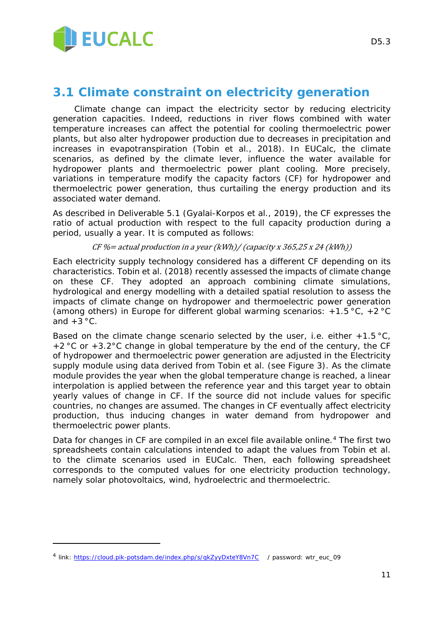

### <span id="page-10-0"></span>**3.1 Climate constraint on electricity generation**

Climate change can impact the electricity sector by reducing electricity generation capacities. Indeed, reductions in river flows combined with water temperature increases can affect the potential for cooling thermoelectric power plants, but also alter hydropower production due to decreases in precipitation and increases in evapotranspiration (Tobin et al., 2018). In EUCalc, the climate scenarios, as defined by the climate lever, influence the water available for hydropower plants and thermoelectric power plant cooling. More precisely, variations in temperature modify the capacity factors (CF) for hydropower and thermoelectric power generation, thus curtailing the energy production and its associated water demand.

As described in Deliverable 5.1 (Gyalai-Korpos et al., 2019), the CF expresses the ratio of actual production with respect to the full capacity production during a period, usually a year. It is computed as follows:

#### $CF \text{\%}$  = actual production in a year (kWh)/ (capacity x 365,25 x 24 (kWh))

Each electricity supply technology considered has a different CF depending on its characteristics. Tobin et al. (2018) recently assessed the impacts of climate change on these CF. They adopted an approach combining climate simulations, hydrological and energy modelling with a detailed spatial resolution to assess the impacts of climate change on hydropower and thermoelectric power generation (among others) in Europe for different global warming scenarios:  $+1.5 \degree C$ ,  $+2 \degree C$ and  $+3$  °C.

Based on the climate change scenario selected by the user, i.e. either  $+1.5 \degree C$ , +2 °C or +3.2°C change in global temperature by the end of the century, the CF of hydropower and thermoelectric power generation are adjusted in the Electricity supply module using data derived from Tobin et al. (see [Figure 3\)](#page-11-1). As the climate module provides the year when the global temperature change is reached, a linear interpolation is applied between the reference year and this target year to obtain yearly values of change in CF. If the source did not include values for specific countries, no changes are assumed. The changes in CF eventually affect electricity production, thus inducing changes in water demand from hydropower and thermoelectric power plants.

Data for changes in CF are compiled in an excel file available online.<sup>[4](#page-10-1)</sup> The first two spreadsheets contain calculations intended to adapt the values from Tobin et al. to the climate scenarios used in EUCalc. Then, each following spreadsheet corresponds to the computed values for one electricity production technology, namely solar photovoltaics, wind, hydroelectric and thermoelectric.

-

<span id="page-10-1"></span><sup>4</sup> link:<https://cloud.pik-potsdam.de/index.php/s/qkZyyDxteY8Vn7C> / password: wtr\_euc\_09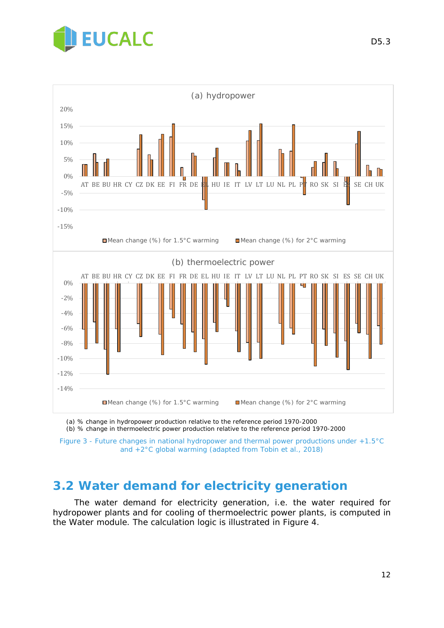



(a) % change in hydropower production relative to the reference period 1970-2000

(b) % change in thermoelectric power production relative to the reference period 1970-2000

<span id="page-11-1"></span>*Figure 3 - Future changes in national hydropower and thermal power productions under +1.5°C and +2°C global warming (adapted from Tobin et al., 2018)*

### <span id="page-11-0"></span>**3.2 Water demand for electricity generation**

The water demand for electricity generation, i.e. the water required for hydropower plants and for cooling of thermoelectric power plants, is computed in the Water module. The calculation logic is illustrated in [Figure 4.](#page-12-0)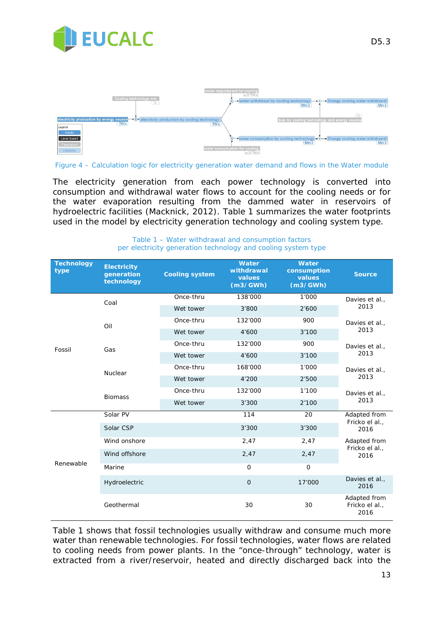



<span id="page-12-0"></span>*Figure 4 – Calculation logic for electricity generation water demand and flows in the Water module*

The electricity generation from each power technology is converted into consumption and withdrawal water flows to account for the cooling needs or for the water evaporation resulting from the dammed water in reservoirs of hydroelectric facilities (Macknick, 2012). [Table 1](#page-12-1) summarizes the water footprints used in the model by electricity generation technology and cooling system type.

<span id="page-12-1"></span>

| <b>Technology</b><br>type | <b>Electricity</b><br>generation<br>technology | <b>Cooling system</b> | <b>Water</b><br>withdrawal<br>values<br>(m3/GWh) | <b>Water</b><br>consumption<br>values<br>(m3/GWh) | <b>Source</b>                          |  |
|---------------------------|------------------------------------------------|-----------------------|--------------------------------------------------|---------------------------------------------------|----------------------------------------|--|
|                           | Coal                                           | Once-thru             | 138'000                                          | 1'000                                             | Davies et al.,<br>2013                 |  |
|                           |                                                | Wet tower             | 3'800                                            | 2'600                                             |                                        |  |
|                           | Oil                                            | Once-thru             | 132'000                                          | 900                                               | Davies et al.,<br>2013                 |  |
|                           |                                                | Wet tower             | 4'600                                            | 3'100                                             |                                        |  |
| Fossil                    | Gas                                            | Once-thru             | 132'000                                          | 900                                               | Davies et al.,                         |  |
|                           |                                                | Wet tower             | 4'600                                            | 3'100                                             | 2013                                   |  |
|                           | Nuclear                                        | Once-thru             | 168'000                                          | 1'000                                             | Davies et al.,<br>2013                 |  |
|                           |                                                | Wet tower             | 4'200                                            | 2'500                                             |                                        |  |
|                           | <b>Biomass</b>                                 | Once-thru             | 132'000                                          | 1'100                                             | Davies et al.,<br>2013                 |  |
|                           |                                                | Wet tower             | 3'300                                            | 2'100                                             |                                        |  |
|                           | Solar PV                                       |                       | 114                                              | 20                                                | Adapted from<br>Fricko el al.,<br>2016 |  |
|                           | Solar CSP                                      |                       | 3'300                                            | 3'300                                             |                                        |  |
|                           | Wind onshore                                   |                       | 2,47                                             | 2,47                                              | Adapted from<br>Fricko el al.,         |  |
|                           | Wind offshore                                  |                       | 2,47                                             | 2,47                                              | 2016                                   |  |
| Renewable                 | Marine                                         |                       | $\mathbf 0$                                      | $\mathbf 0$                                       |                                        |  |
|                           | Hydroelectric                                  |                       | $\overline{O}$                                   | 17'000                                            | Davies et al.,<br>2016                 |  |
|                           | Geothermal                                     |                       | 30                                               | 30                                                | Adapted from<br>Fricko el al.,<br>2016 |  |

*Table 1 – Water withdrawal and consumption factors per electricity generation technology and cooling system type*

[Table 1](#page-12-1) shows that fossil technologies usually withdraw and consume much more water than renewable technologies. For fossil technologies, water flows are related to cooling needs from power plants. In the "once-through" technology, water is extracted from a river/reservoir, heated and directly discharged back into the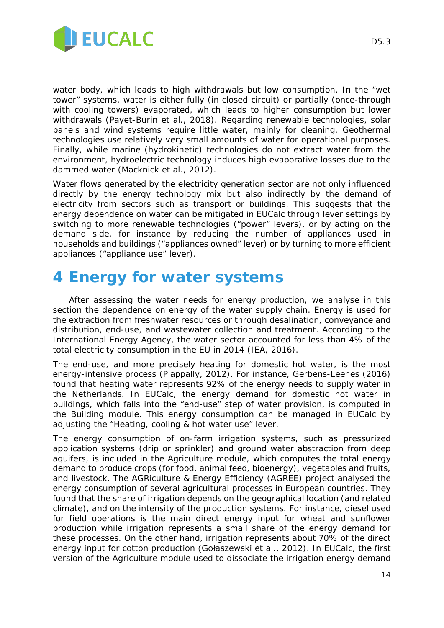

water body, which leads to high withdrawals but low consumption. In the "wet tower" systems, water is either fully (in closed circuit) or partially (once-through with cooling towers) evaporated, which leads to higher consumption but lower withdrawals (Payet-Burin et al., 2018). Regarding renewable technologies, solar panels and wind systems require little water, mainly for cleaning. Geothermal technologies use relatively very small amounts of water for operational purposes. Finally, while marine (hydrokinetic) technologies do not extract water from the environment, hydroelectric technology induces high evaporative losses due to the dammed water (Macknick et al., 2012).

Water flows generated by the electricity generation sector are not only influenced directly by the energy technology mix but also indirectly by the demand of electricity from sectors such as transport or buildings. This suggests that the energy dependence on water can be mitigated in EUCalc through lever settings by switching to more renewable technologies ("power" levers), or by acting on the demand side, for instance by reducing the number of appliances used in households and buildings ("appliances owned" lever) or by turning to more efficient appliances ("appliance use" lever).

### <span id="page-13-0"></span>**4 Energy for water systems**

After assessing the water needs for energy production, we analyse in this section the dependence on energy of the water supply chain. Energy is used for the extraction from freshwater resources or through desalination, conveyance and distribution, end-use, and wastewater collection and treatment. According to the International Energy Agency, the water sector accounted for less than 4% of the total electricity consumption in the EU in 2014 (IEA, 2016).

The end-use, and more precisely heating for domestic hot water, is the most energy-intensive process (Plappally, 2012). For instance, Gerbens-Leenes (2016) found that heating water represents 92% of the energy needs to supply water in the Netherlands. In EUCalc, the energy demand for domestic hot water in buildings, which falls into the "end-use" step of water provision, is computed in the Building module. This energy consumption can be managed in EUCalc by adjusting the "Heating, cooling & hot water use" lever.

The energy consumption of on-farm irrigation systems, such as pressurized application systems (drip or sprinkler) and ground water abstraction from deep aquifers, is included in the Agriculture module, which computes the total energy demand to produce crops (for food, animal feed, bioenergy), vegetables and fruits, and livestock. The AGRiculture & Energy Efficiency (AGREE) project analysed the energy consumption of several agricultural processes in European countries. They found that the share of irrigation depends on the geographical location (and related climate), and on the intensity of the production systems. For instance, diesel used for field operations is the main direct energy input for wheat and sunflower production while irrigation represents a small share of the energy demand for these processes. On the other hand, irrigation represents about 70% of the direct energy input for cotton production (Gołaszewski et al., 2012). In EUCalc, the first version of the Agriculture module used to dissociate the irrigation energy demand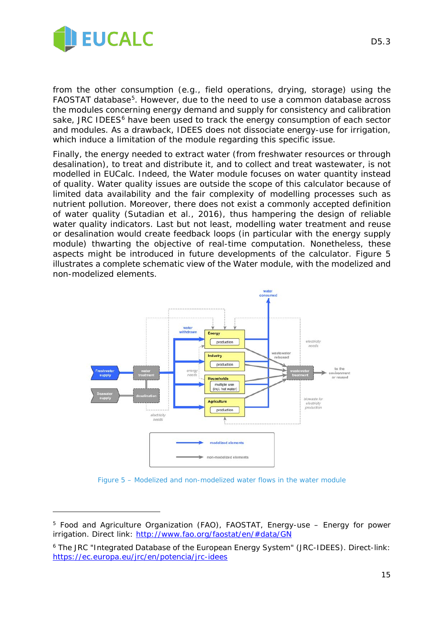

<span id="page-14-0"></span>-

from the other consumption (e.g., field operations, drying, storage) using the FAOSTAT database[5.](#page-14-1) However, due to the need to use a common database across the modules concerning energy demand and supply for consistency and calibration sake, JRC IDEES<sup>[6](#page-14-2)</sup> have been used to track the energy consumption of each sector and modules. As a drawback, IDEES does not dissociate energy-use for irrigation, which induce a limitation of the module regarding this specific issue.

Finally, the energy needed to extract water (from freshwater resources or through desalination), to treat and distribute it, and to collect and treat wastewater, is not modelled in EUCalc. Indeed, the Water module focuses on water quantity instead of quality. Water quality issues are outside the scope of this calculator because of limited data availability and the fair complexity of modelling processes such as nutrient pollution. Moreover, there does not exist a commonly accepted definition of water quality (Sutadian et al., 2016), thus hampering the design of reliable water quality indicators. Last but not least, modelling water treatment and reuse or desalination would create feedback loops (in particular with the energy supply module) thwarting the objective of real-time computation. Nonetheless, these aspects might be introduced in future developments of the calculator. [Figure 5](#page-14-0) illustrates a complete schematic view of the Water module, with the modelized and non-modelized elements.



*Figure* 5 *– Modelized and non-modelized water flows in the water module*

<span id="page-14-1"></span><sup>5</sup> Food and Agriculture Organization (FAO), FAOSTAT, Energy-use – Energy for power irrigation. Direct link:<http://www.fao.org/faostat/en/#data/GN>

<span id="page-14-2"></span><sup>6</sup> The JRC "Integrated Database of the European Energy System" (JRC-IDEES). Direct-link: <https://ec.europa.eu/jrc/en/potencia/jrc-idees>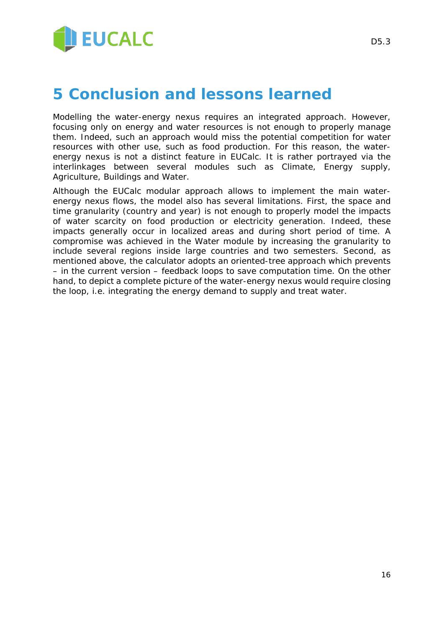

### <span id="page-15-0"></span>**5 Conclusion and lessons learned**

Modelling the water-energy nexus requires an integrated approach. However, focusing only on energy and water resources is not enough to properly manage them. Indeed, such an approach would miss the potential competition for water resources with other use, such as food production. For this reason, the waterenergy nexus is not a distinct feature in EUCalc. It is rather portrayed via the interlinkages between several modules such as Climate, Energy supply, Agriculture, Buildings and Water.

Although the EUCalc modular approach allows to implement the main waterenergy nexus flows, the model also has several limitations. First, the space and time granularity (country and year) is not enough to properly model the impacts of water scarcity on food production or electricity generation. Indeed, these impacts generally occur in localized areas and during short period of time. A compromise was achieved in the Water module by increasing the granularity to include several regions inside large countries and two semesters. Second, as mentioned above, the calculator adopts an oriented-tree approach which prevents – in the current version – feedback loops to save computation time. On the other hand, to depict a complete picture of the water-energy nexus would require closing the loop, i.e. integrating the energy demand to supply and treat water.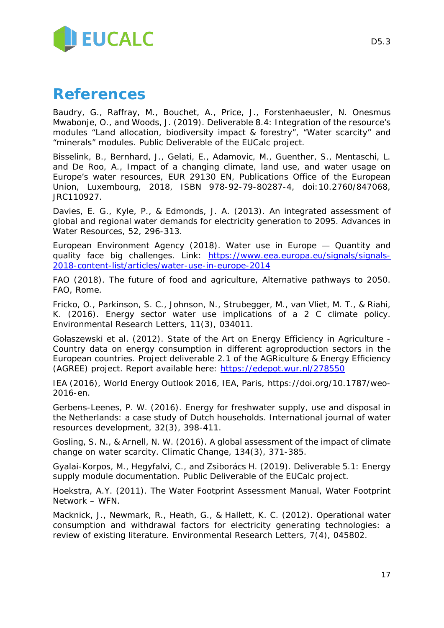

### **References**

Baudry, G., Raffray, M., Bouchet, A., Price, J., Forstenhaeusler, N. Onesmus Mwabonje, O., and Woods, J. (2019). Deliverable 8.4: Integration of the resource's modules "Land allocation, biodiversity impact & forestry", "Water scarcity" and "minerals" modules. Public Deliverable of the EUCalc project.

Bisselink, B., Bernhard, J., Gelati, E., Adamovic, M., Guenther, S., Mentaschi, L. and De Roo, A., Impact of a changing climate, land use, and water usage on Europe's water resources, EUR 29130 EN, Publications Office of the European Union, Luxembourg, 2018, ISBN 978-92-79-80287-4, doi:10.2760/847068, JRC110927.

Davies, E. G., Kyle, P., & Edmonds, J. A. (2013). An integrated assessment of global and regional water demands for electricity generation to 2095. Advances in Water Resources, 52, 296-313.

European Environment Agency (2018). Water use in Europe — Quantity and quality face big challenges. Link: [https://www.eea.europa.eu/signals/signals-](https://www.eea.europa.eu/signals/signals-2018-content-list/articles/water-use-in-europe-2014)[2018-content-list/articles/water-use-in-europe-2014](https://www.eea.europa.eu/signals/signals-2018-content-list/articles/water-use-in-europe-2014)

FAO (2018). The future of food and agriculture, Alternative pathways to 2050. FAO, Rome.

Fricko, O., Parkinson, S. C., Johnson, N., Strubegger, M., van Vliet, M. T., & Riahi, K. (2016). Energy sector water use implications of a 2 C climate policy. Environmental Research Letters, 11(3), 034011.

Gołaszewski et al. (2012). State of the Art on Energy Efficiency in Agriculture - Country data on energy consumption in different agroproduction sectors in the European countries. Project deliverable 2.1 of the AGRiculture & Energy Efficiency (AGREE) project. Report available here:<https://edepot.wur.nl/278550>

IEA (2016), World Energy Outlook 2016, IEA, Paris, [https://doi.org/10.1787/weo-](https://doi.org/10.1787/weo-2016-en)[2016-en.](https://doi.org/10.1787/weo-2016-en)

Gerbens-Leenes, P. W. (2016). Energy for freshwater supply, use and disposal in the Netherlands: a case study of Dutch households. International journal of water resources development, 32(3), 398-411.

Gosling, S. N., & Arnell, N. W. (2016). A global assessment of the impact of climate change on water scarcity. Climatic Change, 134(3), 371-385.

Gyalai-Korpos, M., Hegyfalvi, C., and Zsiborács H. (2019). Deliverable 5.1: Energy supply module documentation. Public Deliverable of the EUCalc project.

Hoekstra, A.Y. (2011). The Water Footprint Assessment Manual, Water Footprint Network – WFN.

Macknick, J., Newmark, R., Heath, G., & Hallett, K. C. (2012). Operational water consumption and withdrawal factors for electricity generating technologies: a review of existing literature. Environmental Research Letters, 7(4), 045802.